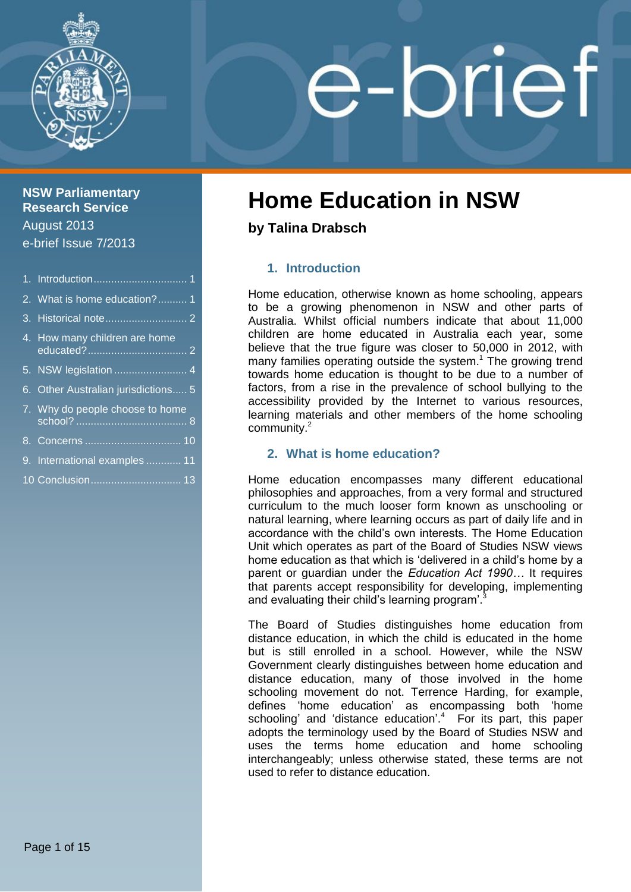

## **NSW Parliamentary Research Service** August 2013 e-brief Issue 7/2013

| 2. What is home education? 1        |
|-------------------------------------|
|                                     |
| 4. How many children are home       |
| 5. NSW legislation  4               |
| 6. Other Australian jurisdictions 5 |
| 7. Why do people choose to home     |
|                                     |
| 9. International examples  11       |
| 10 Conclusion 13                    |

# e-brief

# **Home Education in NSW**

**by Talina Drabsch**

# <span id="page-0-0"></span>**1. Introduction**

Home education, otherwise known as home schooling, appears to be a growing phenomenon in NSW and other parts of Australia. Whilst official numbers indicate that about 11,000 children are home educated in Australia each year, some believe that the true figure was closer to 50,000 in 2012, with many families operating outside the system. <sup>1</sup> The growing trend towards home education is thought to be due to a number of factors, from a rise in the prevalence of school bullying to the accessibility provided by the Internet to various resources, learning materials and other members of the home schooling community.<sup>2</sup>

## <span id="page-0-1"></span>**2. What is home education?**

Home education encompasses many different educational philosophies and approaches, from a very formal and structured curriculum to the much looser form known as unschooling or natural learning, where learning occurs as part of daily life and in accordance with the child's own interests. The Home Education Unit which operates as part of the Board of Studies NSW views home education as that which is 'delivered in a child's home by a parent or guardian under the *Education Act 1990…* It requires that parents accept responsibility for developing, implementing and evaluating their child's learning program'.<sup>3</sup>

The Board of Studies distinguishes home education from distance education, in which the child is educated in the home but is still enrolled in a school. However, while the NSW Government clearly distinguishes between home education and distance education, many of those involved in the home schooling movement do not. Terrence Harding, for example, defines 'home education' as encompassing both 'home schooling' and 'distance education'. <sup>4</sup> For its part, this paper adopts the terminology used by the Board of Studies NSW and uses the terms home education and home schooling interchangeably; unless otherwise stated, these terms are not used to refer to distance education.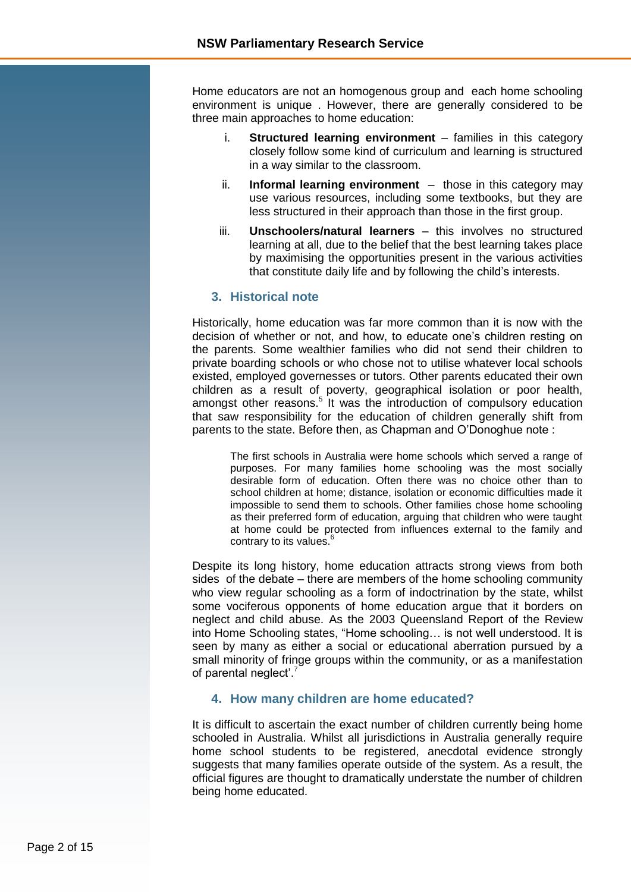Home educators are not an homogenous group and each home schooling environment is unique . However, there are generally considered to be three main approaches to home education:

- i. **Structured learning environment** families in this category closely follow some kind of curriculum and learning is structured in a way similar to the classroom.
- ii. **Informal learning environment** those in this category may use various resources, including some textbooks, but they are less structured in their approach than those in the first group.
- iii. **Unschoolers/natural learners** this involves no structured learning at all, due to the belief that the best learning takes place by maximising the opportunities present in the various activities that constitute daily life and by following the child's interests.

#### <span id="page-1-0"></span>**3. Historical note**

Historically, home education was far more common than it is now with the decision of whether or not, and how, to educate one's children resting on the parents. Some wealthier families who did not send their children to private boarding schools or who chose not to utilise whatever local schools existed, employed governesses or tutors. Other parents educated their own children as a result of poverty, geographical isolation or poor health, amongst other reasons.<sup>5</sup> It was the introduction of compulsory education that saw responsibility for the education of children generally shift from parents to the state. Before then, as Chapman and O'Donoghue note :

The first schools in Australia were home schools which served a range of purposes. For many families home schooling was the most socially desirable form of education. Often there was no choice other than to school children at home; distance, isolation or economic difficulties made it impossible to send them to schools. Other families chose home schooling as their preferred form of education, arguing that children who were taught at home could be protected from influences external to the family and contrary to its values.<sup>6</sup>

Despite its long history, home education attracts strong views from both sides of the debate – there are members of the home schooling community who view regular schooling as a form of indoctrination by the state, whilst some vociferous opponents of home education argue that it borders on neglect and child abuse. As the 2003 Queensland Report of the Review into Home Schooling states, "Home schooling… is not well understood. It is seen by many as either a social or educational aberration pursued by a small minority of fringe groups within the community, or as a manifestation of parental neglect'.<sup>7</sup>

#### <span id="page-1-1"></span>**4. How many children are home educated?**

It is difficult to ascertain the exact number of children currently being home schooled in Australia. Whilst all jurisdictions in Australia generally require home school students to be registered, anecdotal evidence strongly suggests that many families operate outside of the system. As a result, the official figures are thought to dramatically understate the number of children being home educated.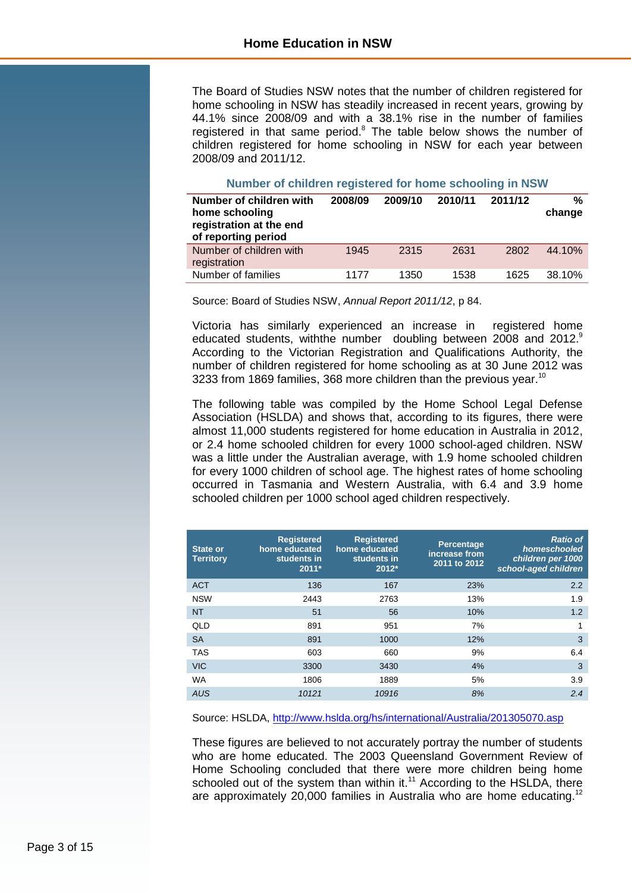The Board of Studies NSW notes that the number of children registered for home schooling in NSW has steadily increased in recent years, growing by 44.1% since 2008/09 and with a 38.1% rise in the number of families registered in that same period.<sup>8</sup> The table below shows the number of children registered for home schooling in NSW for each year between 2008/09 and 2011/12.

#### **Number of children registered for home schooling in NSW**

| Number of children with<br>home schooling<br>registration at the end<br>of reporting period | 2008/09 | 2009/10 | 2010/11 | 2011/12 | %<br>change |
|---------------------------------------------------------------------------------------------|---------|---------|---------|---------|-------------|
| Number of children with<br>registration                                                     | 1945    | 2315    | 2631    | 2802    | 44.10%      |
| Number of families                                                                          | 1177    | 1350    | 1538    | 1625    | 38.10%      |

Source: Board of Studies NSW, *Annual Report 2011/12*, p 84.

Victoria has similarly experienced an increase in registered home educated students, with the number doubling between 2008 and 2012. According to the Victorian Registration and Qualifications Authority, the number of children registered for home schooling as at 30 June 2012 was 3233 from 1869 families, 368 more children than the previous year.<sup>10</sup>

The following table was compiled by the Home School Legal Defense Association (HSLDA) and shows that, according to its figures, there were almost 11,000 students registered for home education in Australia in 2012, or 2.4 home schooled children for every 1000 school-aged children. NSW was a little under the Australian average, with 1.9 home schooled children for every 1000 children of school age. The highest rates of home schooling occurred in Tasmania and Western Australia, with 6.4 and 3.9 home schooled children per 1000 school aged children respectively.

| <b>State or</b><br><b>Territory</b> | <b>Registered</b><br>home educated<br>students in<br>$2011*$ | <b>Registered</b><br>home educated<br>students in<br>2012* | Percentage<br>increase from<br>2011 to 2012 | <b>Ratio of</b><br>homeschooled<br>children per 1000<br>school-aged children |
|-------------------------------------|--------------------------------------------------------------|------------------------------------------------------------|---------------------------------------------|------------------------------------------------------------------------------|
| <b>ACT</b>                          | 136                                                          | 167                                                        | 23%                                         | 2.2                                                                          |
| <b>NSW</b>                          | 2443                                                         | 2763                                                       | 13%                                         | 1.9                                                                          |
| <b>NT</b>                           | 51                                                           | 56                                                         | 10%                                         | 1.2                                                                          |
| QLD                                 | 891                                                          | 951                                                        | 7%                                          | 1                                                                            |
| <b>SA</b>                           | 891                                                          | 1000                                                       | 12%                                         | 3                                                                            |
| <b>TAS</b>                          | 603                                                          | 660                                                        | 9%                                          | 6.4                                                                          |
| <b>VIC</b>                          | 3300                                                         | 3430                                                       | 4%                                          | 3                                                                            |
| <b>WA</b>                           | 1806                                                         | 1889                                                       | 5%                                          | 3.9                                                                          |
| <b>AUS</b>                          | 10121                                                        | 10916                                                      | 8%                                          | 2.4                                                                          |

Source: HSLDA,<http://www.hslda.org/hs/international/Australia/201305070.asp>

These figures are believed to not accurately portray the number of students who are home educated. The 2003 Queensland Government Review of Home Schooling concluded that there were more children being home schooled out of the system than within it.<sup>11</sup> According to the HSLDA, there are approximately 20,000 families in Australia who are home educating.<sup>12</sup>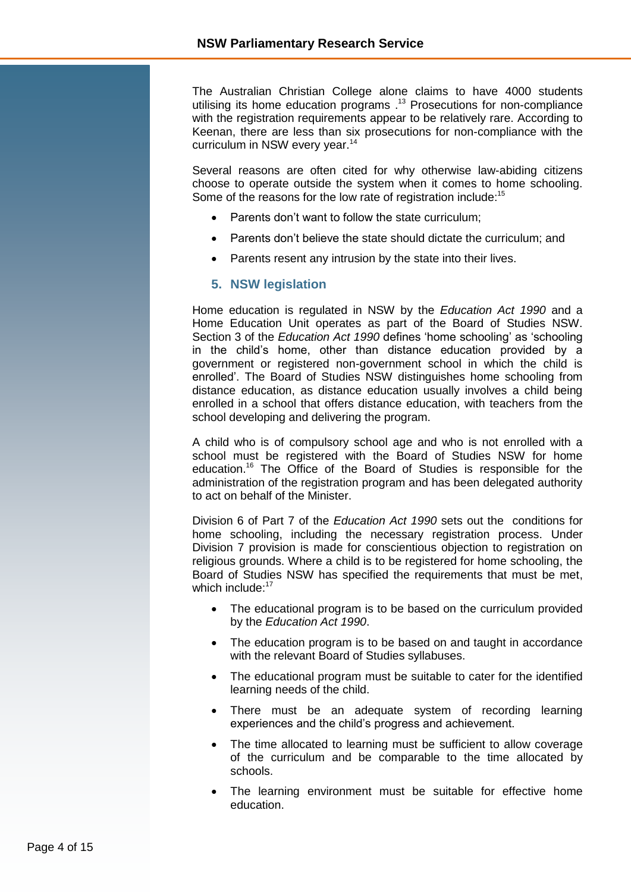The Australian Christian College alone claims to have 4000 students utilising its home education programs . <sup>13</sup> Prosecutions for non-compliance with the registration requirements appear to be relatively rare. According to Keenan, there are less than six prosecutions for non-compliance with the curriculum in NSW every year.<sup>14</sup>

Several reasons are often cited for why otherwise law-abiding citizens choose to operate outside the system when it comes to home schooling. Some of the reasons for the low rate of registration include:<sup>15</sup>

- Parents don't want to follow the state curriculum;
- Parents don't believe the state should dictate the curriculum; and
- <span id="page-3-0"></span>• Parents resent any intrusion by the state into their lives.

#### **5. NSW legislation**

Home education is regulated in NSW by the *Education Act 1990* and a Home Education Unit operates as part of the Board of Studies NSW. Section 3 of the *Education Act 1990* defines 'home schooling' as 'schooling in the child's home, other than distance education provided by a government or registered non-government school in which the child is enrolled'. The Board of Studies NSW distinguishes home schooling from distance education, as distance education usually involves a child being enrolled in a school that offers distance education, with teachers from the school developing and delivering the program.

A child who is of compulsory school age and who is not enrolled with a school must be registered with the Board of Studies NSW for home education.<sup>16</sup> The Office of the Board of Studies is responsible for the administration of the registration program and has been delegated authority to act on behalf of the Minister.

Division 6 of Part 7 of the *Education Act 1990* sets out the conditions for home schooling, including the necessary registration process. Under Division 7 provision is made for conscientious objection to registration on religious grounds. Where a child is to be registered for home schooling, the Board of Studies NSW has specified the requirements that must be met, which include:<sup>17</sup>

- The educational program is to be based on the curriculum provided by the *Education Act 1990*.
- The education program is to be based on and taught in accordance with the relevant Board of Studies syllabuses.
- The educational program must be suitable to cater for the identified learning needs of the child.
- There must be an adequate system of recording learning experiences and the child's progress and achievement.
- The time allocated to learning must be sufficient to allow coverage of the curriculum and be comparable to the time allocated by schools.
- The learning environment must be suitable for effective home education.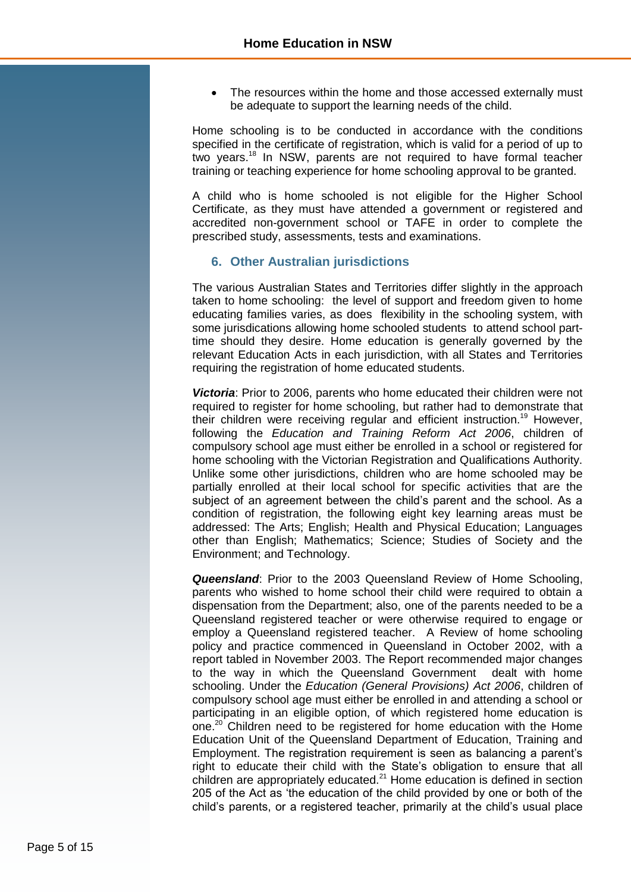The resources within the home and those accessed externally must be adequate to support the learning needs of the child.

Home schooling is to be conducted in accordance with the conditions specified in the certificate of registration, which is valid for a period of up to two years.<sup>18</sup> In NSW, parents are not required to have formal teacher training or teaching experience for home schooling approval to be granted.

A child who is home schooled is not eligible for the Higher School Certificate, as they must have attended a government or registered and accredited non-government school or TAFE in order to complete the prescribed study, assessments, tests and examinations.

#### <span id="page-4-0"></span>**6. Other Australian jurisdictions**

The various Australian States and Territories differ slightly in the approach taken to home schooling: the level of support and freedom given to home educating families varies, as does flexibility in the schooling system, with some jurisdications allowing home schooled students to attend school parttime should they desire. Home education is generally governed by the relevant Education Acts in each jurisdiction, with all States and Territories requiring the registration of home educated students.

*Victoria*: Prior to 2006, parents who home educated their children were not required to register for home schooling, but rather had to demonstrate that their children were receiving regular and efficient instruction.<sup>19</sup> However, following the *Education and Training Reform Act 2006*, children of compulsory school age must either be enrolled in a school or registered for home schooling with the Victorian Registration and Qualifications Authority. Unlike some other jurisdictions, children who are home schooled may be partially enrolled at their local school for specific activities that are the subject of an agreement between the child's parent and the school. As a condition of registration, the following eight key learning areas must be addressed: The Arts; English; Health and Physical Education; Languages other than English; Mathematics; Science; Studies of Society and the Environment; and Technology.

*Queensland*: Prior to the 2003 Queensland Review of Home Schooling, parents who wished to home school their child were required to obtain a dispensation from the Department; also, one of the parents needed to be a Queensland registered teacher or were otherwise required to engage or employ a Queensland registered teacher. A Review of home schooling policy and practice commenced in Queensland in October 2002, with a report tabled in November 2003. The Report recommended major changes to the way in which the Queensland Government dealt with home schooling. Under the *Education (General Provisions) Act 2006*, children of compulsory school age must either be enrolled in and attending a school or participating in an eligible option, of which registered home education is one.<sup>20</sup> Children need to be registered for home education with the Home Education Unit of the Queensland Department of Education, Training and Employment. The registration requirement is seen as balancing a parent's right to educate their child with the State's obligation to ensure that all children are appropriately educated.<sup>21</sup> Home education is defined in section 205 of the Act as 'the education of the child provided by one or both of the child's parents, or a registered teacher, primarily at the child's usual place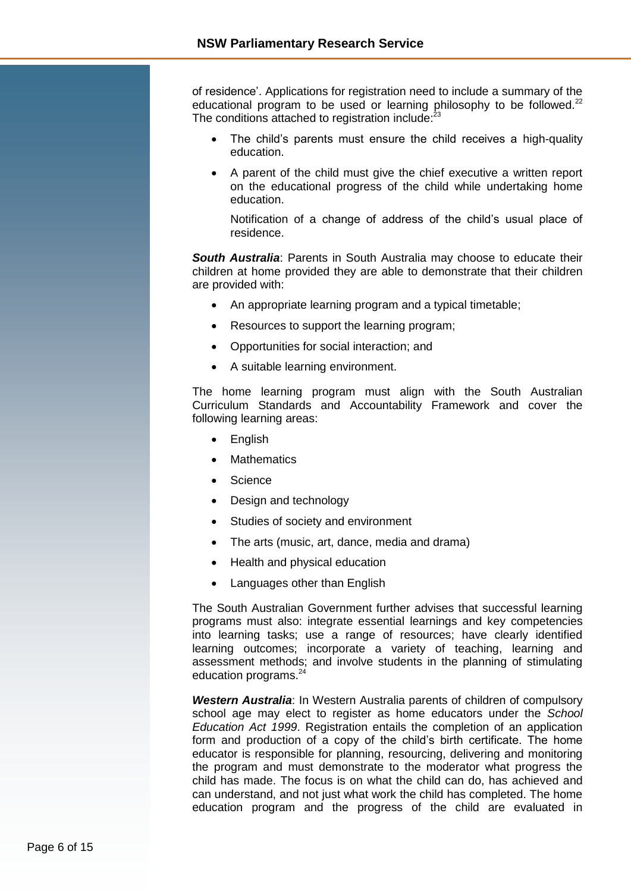of residence'. Applications for registration need to include a summary of the educational program to be used or learning philosophy to be followed.<sup>22</sup> The conditions attached to registration include:<sup>23</sup>

- The child's parents must ensure the child receives a high-quality education.
- A parent of the child must give the chief executive a written report on the educational progress of the child while undertaking home education.

Notification of a change of address of the child's usual place of residence.

*South Australia*: Parents in South Australia may choose to educate their children at home provided they are able to demonstrate that their children are provided with:

- An appropriate learning program and a typical timetable;
- Resources to support the learning program;
- Opportunities for social interaction; and
- A suitable learning environment.

The home learning program must align with the South Australian Curriculum Standards and Accountability Framework and cover the following learning areas:

- English
- **Mathematics**
- Science
- Design and technology
- Studies of society and environment
- The arts (music, art, dance, media and drama)
- Health and physical education
- Languages other than English

The South Australian Government further advises that successful learning programs must also: integrate essential learnings and key competencies into learning tasks; use a range of resources; have clearly identified learning outcomes; incorporate a variety of teaching, learning and assessment methods; and involve students in the planning of stimulating education programs.<sup>24</sup>

*Western Australia*: In Western Australia parents of children of compulsory school age may elect to register as home educators under the *School Education Act 1999*. Registration entails the completion of an application form and production of a copy of the child's birth certificate. The home educator is responsible for planning, resourcing, delivering and monitoring the program and must demonstrate to the moderator what progress the child has made. The focus is on what the child can do, has achieved and can understand, and not just what work the child has completed. The home education program and the progress of the child are evaluated in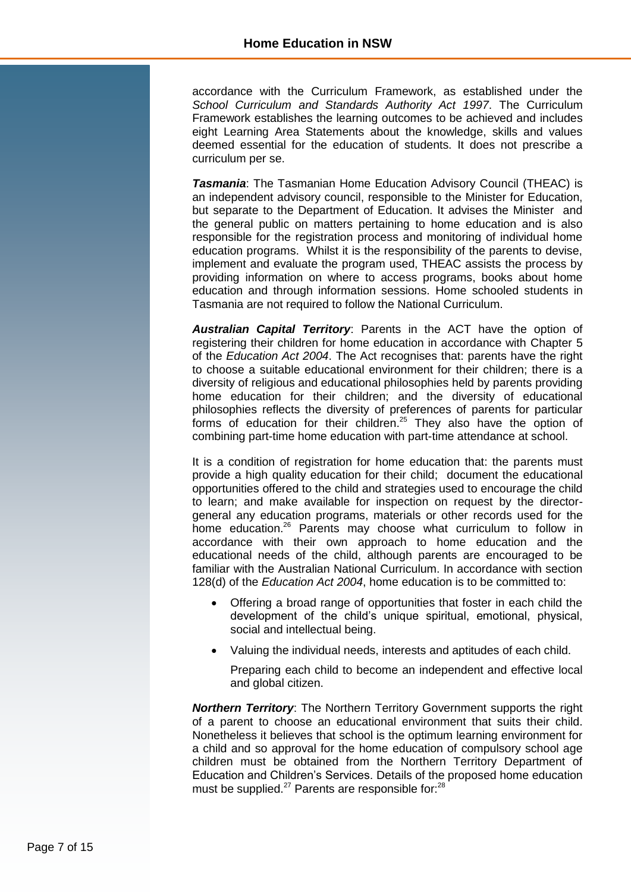accordance with the Curriculum Framework, as established under the *School Curriculum and Standards Authority Act 1997*. The Curriculum Framework establishes the learning outcomes to be achieved and includes eight Learning Area Statements about the knowledge, skills and values deemed essential for the education of students. It does not prescribe a curriculum per se.

*Tasmania*: The Tasmanian Home Education Advisory Council (THEAC) is an independent advisory council, responsible to the Minister for Education, but separate to the Department of Education. It advises the Minister and the general public on matters pertaining to home education and is also responsible for the registration process and monitoring of individual home education programs. Whilst it is the responsibility of the parents to devise, implement and evaluate the program used, THEAC assists the process by providing information on where to access programs, books about home education and through information sessions. Home schooled students in Tasmania are not required to follow the National Curriculum.

*Australian Capital Territory*: Parents in the ACT have the option of registering their children for home education in accordance with Chapter 5 of the *Education Act 2004*. The Act recognises that: parents have the right to choose a suitable educational environment for their children; there is a diversity of religious and educational philosophies held by parents providing home education for their children; and the diversity of educational philosophies reflects the diversity of preferences of parents for particular forms of education for their children.<sup>25</sup> They also have the option of combining part-time home education with part-time attendance at school.

It is a condition of registration for home education that: the parents must provide a high quality education for their child; document the educational opportunities offered to the child and strategies used to encourage the child to learn; and make available for inspection on request by the directorgeneral any education programs, materials or other records used for the home education.<sup>26</sup> Parents may choose what curriculum to follow in accordance with their own approach to home education and the educational needs of the child, although parents are encouraged to be familiar with the Australian National Curriculum. In accordance with section 128(d) of the *Education Act 2004*, home education is to be committed to:

- Offering a broad range of opportunities that foster in each child the development of the child's unique spiritual, emotional, physical, social and intellectual being.
- Valuing the individual needs, interests and aptitudes of each child.
	- Preparing each child to become an independent and effective local and global citizen.

*Northern Territory*: The Northern Territory Government supports the right of a parent to choose an educational environment that suits their child. Nonetheless it believes that school is the optimum learning environment for a child and so approval for the home education of compulsory school age children must be obtained from the Northern Territory Department of Education and Children's Services. Details of the proposed home education must be supplied. $27$  Parents are responsible for: $28$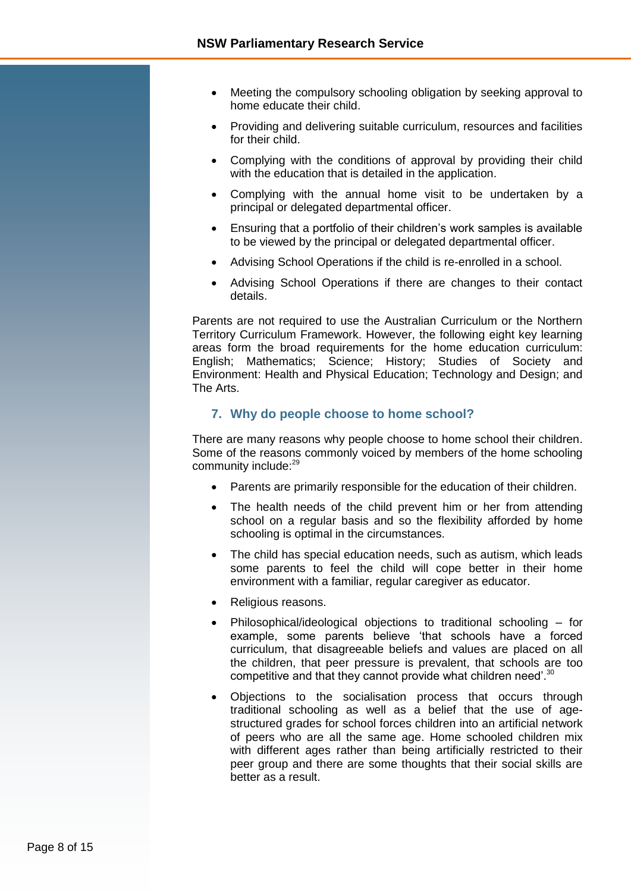- Meeting the compulsory schooling obligation by seeking approval to home educate their child.
- Providing and delivering suitable curriculum, resources and facilities for their child.
- Complying with the conditions of approval by providing their child with the education that is detailed in the application.
- Complying with the annual home visit to be undertaken by a principal or delegated departmental officer.
- Ensuring that a portfolio of their children's work samples is available to be viewed by the principal or delegated departmental officer.
- Advising School Operations if the child is re-enrolled in a school.
- Advising School Operations if there are changes to their contact details.

Parents are not required to use the Australian Curriculum or the Northern Territory Curriculum Framework. However, the following eight key learning areas form the broad requirements for the home education curriculum: English; Mathematics; Science; History; Studies of Society and Environment: Health and Physical Education; Technology and Design; and The Arts.

#### <span id="page-7-0"></span>**7. Why do people choose to home school?**

There are many reasons why people choose to home school their children. Some of the reasons commonly voiced by members of the home schooling community include:<sup>29</sup>

- Parents are primarily responsible for the education of their children.
- The health needs of the child prevent him or her from attending school on a regular basis and so the flexibility afforded by home schooling is optimal in the circumstances.
- The child has special education needs, such as autism, which leads some parents to feel the child will cope better in their home environment with a familiar, regular caregiver as educator.
- Religious reasons.
- Philosophical/ideological objections to traditional schooling for example, some parents believe 'that schools have a forced curriculum, that disagreeable beliefs and values are placed on all the children, that peer pressure is prevalent, that schools are too competitive and that they cannot provide what children need'.<sup>30</sup>
- Objections to the socialisation process that occurs through traditional schooling as well as a belief that the use of agestructured grades for school forces children into an artificial network of peers who are all the same age. Home schooled children mix with different ages rather than being artificially restricted to their peer group and there are some thoughts that their social skills are better as a result.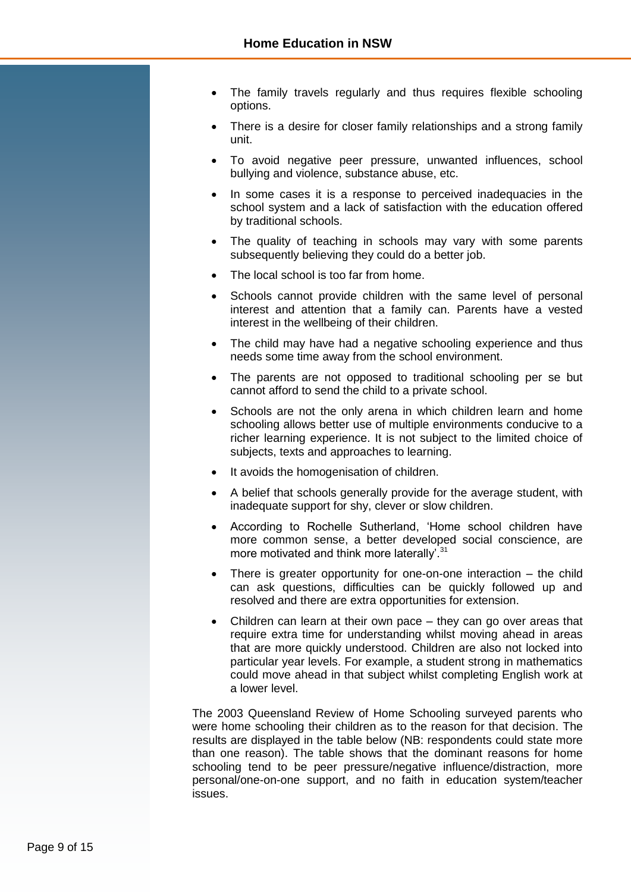- The family travels regularly and thus requires flexible schooling options.
- There is a desire for closer family relationships and a strong family unit.
- To avoid negative peer pressure, unwanted influences, school bullying and violence, substance abuse, etc.
- In some cases it is a response to perceived inadequacies in the school system and a lack of satisfaction with the education offered by traditional schools.
- The quality of teaching in schools may vary with some parents subsequently believing they could do a better job.
- The local school is too far from home.
- Schools cannot provide children with the same level of personal interest and attention that a family can. Parents have a vested interest in the wellbeing of their children.
- The child may have had a negative schooling experience and thus needs some time away from the school environment.
- The parents are not opposed to traditional schooling per se but cannot afford to send the child to a private school.
- Schools are not the only arena in which children learn and home schooling allows better use of multiple environments conducive to a richer learning experience. It is not subject to the limited choice of subjects, texts and approaches to learning.
- It avoids the homogenisation of children.
- A belief that schools generally provide for the average student, with inadequate support for shy, clever or slow children.
- According to Rochelle Sutherland, 'Home school children have more common sense, a better developed social conscience, are more motivated and think more laterally'.<sup>31</sup>
- There is greater opportunity for one-on-one interaction the child can ask questions, difficulties can be quickly followed up and resolved and there are extra opportunities for extension.
- Children can learn at their own pace they can go over areas that require extra time for understanding whilst moving ahead in areas that are more quickly understood. Children are also not locked into particular year levels. For example, a student strong in mathematics could move ahead in that subject whilst completing English work at a lower level.

The 2003 Queensland Review of Home Schooling surveyed parents who were home schooling their children as to the reason for that decision. The results are displayed in the table below (NB: respondents could state more than one reason). The table shows that the dominant reasons for home schooling tend to be peer pressure/negative influence/distraction, more personal/one-on-one support, and no faith in education system/teacher issues.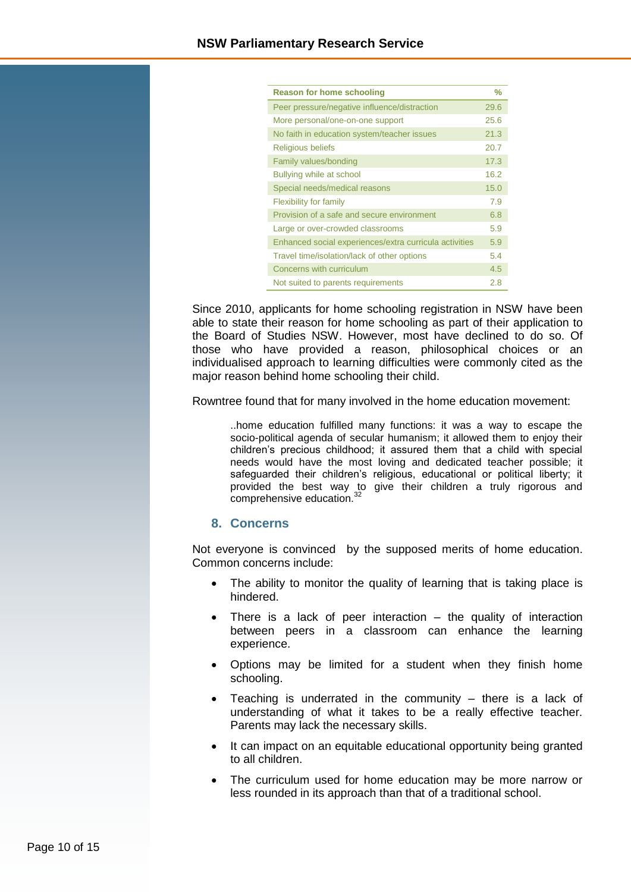| <b>Reason for home schooling</b>                       | $\frac{9}{6}$ |
|--------------------------------------------------------|---------------|
| Peer pressure/negative influence/distraction           | 29.6          |
| More personal/one-on-one support                       | 25.6          |
| No faith in education system/teacher issues            | 21.3          |
| <b>Religious beliefs</b>                               | 20.7          |
| Family values/bonding                                  | 17.3          |
| Bullying while at school                               | 16.2          |
| Special needs/medical reasons                          | 15.0          |
| <b>Flexibility for family</b>                          | 7.9           |
| Provision of a safe and secure environment             | 6.8           |
| Large or over-crowded classrooms                       | 5.9           |
| Enhanced social experiences/extra curricula activities | 5.9           |
| Travel time/isolation/lack of other options            | 5.4           |
| Concerns with curriculum                               | 4.5           |
| Not suited to parents requirements                     | 2.8           |

Since 2010, applicants for home schooling registration in NSW have been able to state their reason for home schooling as part of their application to the Board of Studies NSW. However, most have declined to do so. Of those who have provided a reason, philosophical choices or an individualised approach to learning difficulties were commonly cited as the major reason behind home schooling their child.

Rowntree found that for many involved in the home education movement:

..home education fulfilled many functions: it was a way to escape the socio-political agenda of secular humanism; it allowed them to enjoy their children's precious childhood; it assured them that a child with special needs would have the most loving and dedicated teacher possible; it safeguarded their children's religious, educational or political liberty; it provided the best way to give their children a truly rigorous and comprehensive education.<sup>32</sup>

#### <span id="page-9-0"></span>**8. Concerns**

Not everyone is convinced by the supposed merits of home education. Common concerns include:

- The ability to monitor the quality of learning that is taking place is hindered.
- There is a lack of peer interaction the quality of interaction between peers in a classroom can enhance the learning experience.
- Options may be limited for a student when they finish home schooling.
- Teaching is underrated in the community there is a lack of understanding of what it takes to be a really effective teacher. Parents may lack the necessary skills.
- It can impact on an equitable educational opportunity being granted to all children.
- The curriculum used for home education may be more narrow or less rounded in its approach than that of a traditional school.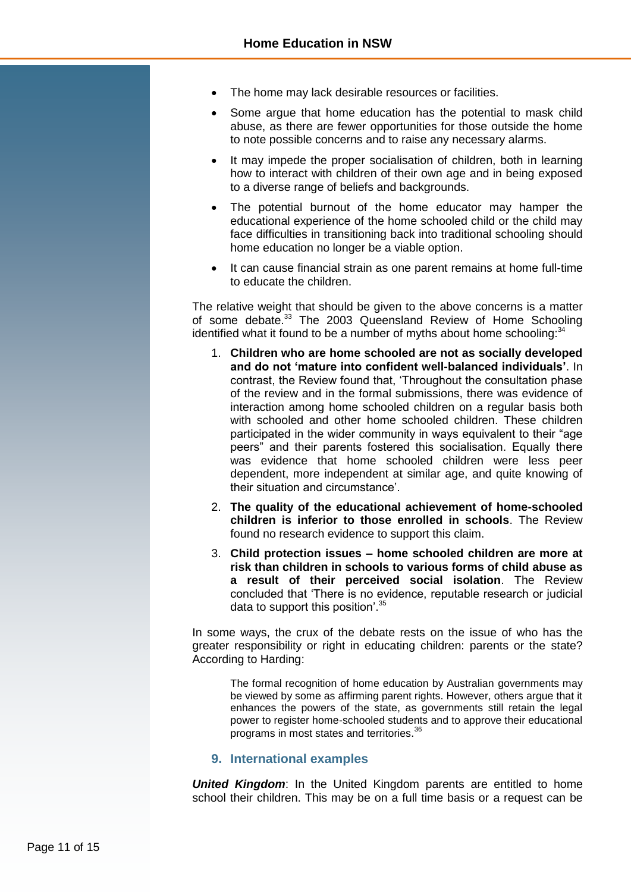- The home may lack desirable resources or facilities.
- Some argue that home education has the potential to mask child abuse, as there are fewer opportunities for those outside the home to note possible concerns and to raise any necessary alarms.
- It may impede the proper socialisation of children, both in learning how to interact with children of their own age and in being exposed to a diverse range of beliefs and backgrounds.
- The potential burnout of the home educator may hamper the educational experience of the home schooled child or the child may face difficulties in transitioning back into traditional schooling should home education no longer be a viable option.
- It can cause financial strain as one parent remains at home full-time to educate the children.

The relative weight that should be given to the above concerns is a matter of some debate.<sup>33</sup> The 2003 Queensland Review of Home Schooling identified what it found to be a number of myths about home schooling:<sup>34</sup>

- 1. **Children who are home schooled are not as socially developed and do not 'mature into confident well-balanced individuals'**. In contrast, the Review found that, 'Throughout the consultation phase of the review and in the formal submissions, there was evidence of interaction among home schooled children on a regular basis both with schooled and other home schooled children. These children participated in the wider community in ways equivalent to their "age peers" and their parents fostered this socialisation. Equally there was evidence that home schooled children were less peer dependent, more independent at similar age, and quite knowing of their situation and circumstance'.
- 2. **The quality of the educational achievement of home-schooled children is inferior to those enrolled in schools**. The Review found no research evidence to support this claim.
- 3. **Child protection issues – home schooled children are more at risk than children in schools to various forms of child abuse as a result of their perceived social isolation**. The Review concluded that 'There is no evidence, reputable research or judicial data to support this position'.<sup>35</sup>

In some ways, the crux of the debate rests on the issue of who has the greater responsibility or right in educating children: parents or the state? According to Harding:

The formal recognition of home education by Australian governments may be viewed by some as affirming parent rights. However, others argue that it enhances the powers of the state, as governments still retain the legal power to register home-schooled students and to approve their educational programs in most states and territories.<sup>36</sup>

#### <span id="page-10-0"></span>**9. International examples**

**United Kingdom:** In the United Kingdom parents are entitled to home school their children. This may be on a full time basis or a request can be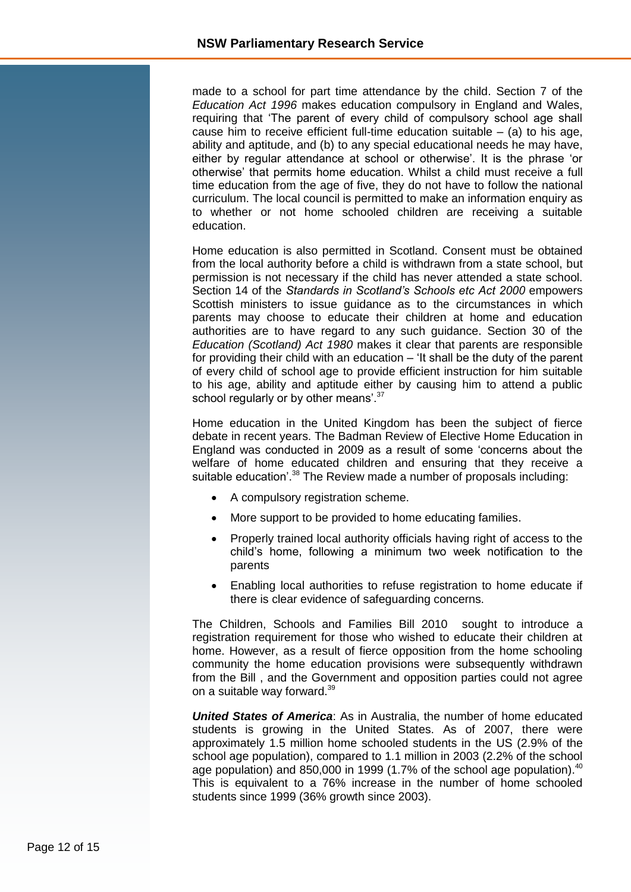made to a school for part time attendance by the child. Section 7 of the *Education Act 1996* makes education compulsory in England and Wales, requiring that 'The parent of every child of compulsory school age shall cause him to receive efficient full-time education suitable  $-$  (a) to his age, ability and aptitude, and (b) to any special educational needs he may have, either by regular attendance at school or otherwise'. It is the phrase 'or otherwise' that permits home education. Whilst a child must receive a full time education from the age of five, they do not have to follow the national curriculum. The local council is permitted to make an information enquiry as to whether or not home schooled children are receiving a suitable education.

Home education is also permitted in Scotland. Consent must be obtained from the local authority before a child is withdrawn from a state school, but permission is not necessary if the child has never attended a state school. Section 14 of the *Standards in Scotland's Schools etc Act 2000* empowers Scottish ministers to issue guidance as to the circumstances in which parents may choose to educate their children at home and education authorities are to have regard to any such guidance. Section 30 of the *Education (Scotland) Act 1980* makes it clear that parents are responsible for providing their child with an education – 'It shall be the duty of the parent of every child of school age to provide efficient instruction for him suitable to his age, ability and aptitude either by causing him to attend a public school regularly or by other means'.<sup>37</sup>

Home education in the United Kingdom has been the subject of fierce debate in recent years. The Badman Review of Elective Home Education in England was conducted in 2009 as a result of some 'concerns about the welfare of home educated children and ensuring that they receive a suitable education'.<sup>38</sup> The Review made a number of proposals including:

- A compulsory registration scheme.
- More support to be provided to home educating families.
- Properly trained local authority officials having right of access to the child's home, following a minimum two week notification to the parents
- Enabling local authorities to refuse registration to home educate if there is clear evidence of safeguarding concerns.

The Children, Schools and Families Bill 2010 sought to introduce a registration requirement for those who wished to educate their children at home. However, as a result of fierce opposition from the home schooling community the home education provisions were subsequently withdrawn from the Bill , and the Government and opposition parties could not agree on a suitable way forward.<sup>39</sup>

*United States of America*: As in Australia, the number of home educated students is growing in the United States. As of 2007, there were approximately 1.5 million home schooled students in the US (2.9% of the school age population), compared to 1.1 million in 2003 (2.2% of the school age population) and 850,000 in 1999 (1.7% of the school age population). $40$ This is equivalent to a 76% increase in the number of home schooled students since 1999 (36% growth since 2003).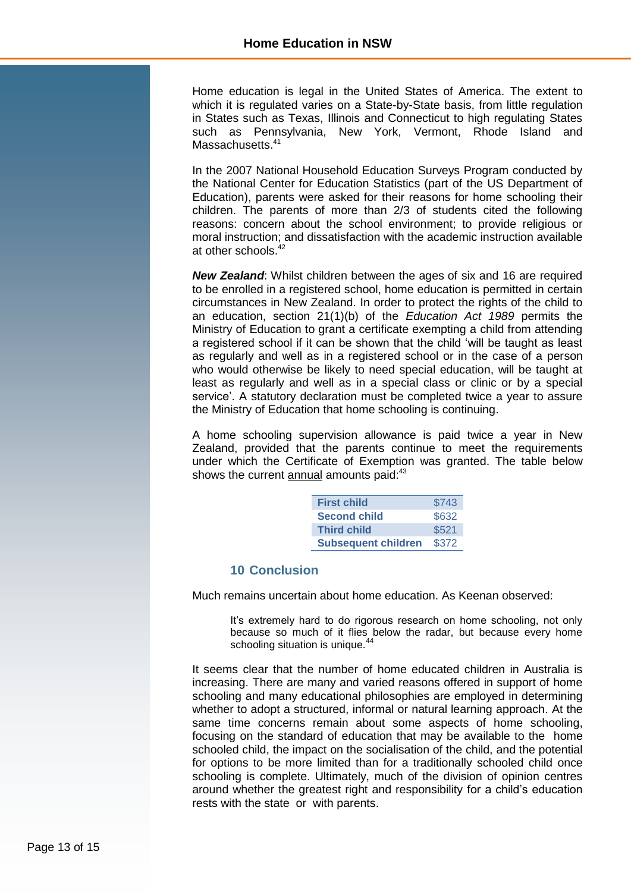Home education is legal in the United States of America. The extent to which it is regulated varies on a State-by-State basis, from little regulation in States such as Texas, Illinois and Connecticut to high regulating States such as Pennsylvania, New York, Vermont, Rhode Island and Massachusetts.<sup>41</sup>

In the 2007 National Household Education Surveys Program conducted by the National Center for Education Statistics (part of the US Department of Education), parents were asked for their reasons for home schooling their children. The parents of more than 2/3 of students cited the following reasons: concern about the school environment; to provide religious or moral instruction; and dissatisfaction with the academic instruction available at other schools.<sup>42</sup>

*New Zealand*: Whilst children between the ages of six and 16 are required to be enrolled in a registered school, home education is permitted in certain circumstances in New Zealand. In order to protect the rights of the child to an education, section 21(1)(b) of the *Education Act 1989* permits the Ministry of Education to grant a certificate exempting a child from attending a registered school if it can be shown that the child 'will be taught as least as regularly and well as in a registered school or in the case of a person who would otherwise be likely to need special education, will be taught at least as regularly and well as in a special class or clinic or by a special service'. A statutory declaration must be completed twice a year to assure the Ministry of Education that home schooling is continuing.

A home schooling supervision allowance is paid twice a year in New Zealand, provided that the parents continue to meet the requirements under which the Certificate of Exemption was granted. The table below shows the current annual amounts paid:<sup>43</sup>

| <b>First child</b>         | \$743 |
|----------------------------|-------|
| <b>Second child</b>        | \$632 |
| <b>Third child</b>         | \$521 |
| <b>Subsequent children</b> | \$372 |

#### **10 Conclusion**

<span id="page-12-0"></span>Much remains uncertain about home education. As Keenan observed:

It's extremely hard to do rigorous research on home schooling, not only because so much of it flies below the radar, but because every home schooling situation is unique.<sup>4</sup>

It seems clear that the number of home educated children in Australia is increasing. There are many and varied reasons offered in support of home schooling and many educational philosophies are employed in determining whether to adopt a structured, informal or natural learning approach. At the same time concerns remain about some aspects of home schooling, focusing on the standard of education that may be available to the home schooled child, the impact on the socialisation of the child, and the potential for options to be more limited than for a traditionally schooled child once schooling is complete. Ultimately, much of the division of opinion centres around whether the greatest right and responsibility for a child's education rests with the state or with parents.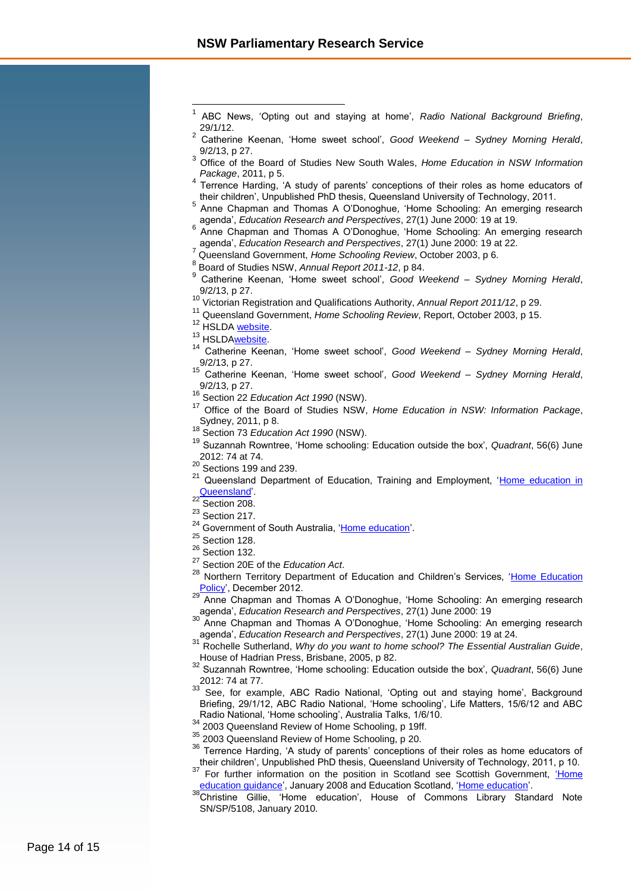- ABC News, 'Opting out and staying at home', *Radio National Background Briefing*, 29/1/12.
- 2 Catherine Keenan, 'Home sweet school', *Good Weekend – Sydney Morning Herald*, 9/2/13, p 27.
- <sup>3</sup> Office of the Board of Studies New South Wales, *Home Education in NSW Information Package*, 2011, p 5.
- 4 Terrence Harding, 'A study of parents' conceptions of their roles as home educators of their children', Unpublished PhD thesis, Queensland University of Technology, 2011.
- 5 Anne Chapman and Thomas A O'Donoghue, 'Home Schooling: An emerging research agenda', *Education Research and Perspectives*, 27(1) June 2000: 19 at 19.
- 6 Anne Chapman and Thomas A O'Donoghue, 'Home Schooling: An emerging research agenda', *Education Research and Perspectives*, 27(1) June 2000: 19 at 22.
- <sup>7</sup> Queensland Government, *Home Schooling Review*, October 2003, p 6.
- 8 Board of Studies NSW, *Annual Report 2011-12*, p 84.
- 9 Catherine Keenan, 'Home sweet school', *Good Weekend – Sydney Morning Herald*, 9/2/13, p 27.
- <sup>10</sup> Victorian Registration and Qualifications Authority, *Annual Report 2011/12*, p 29.
- <sup>11</sup> Queensland Government, *Home Schooling Review*, Report, October 2003, p 15.
- <sup>12</sup> HSLDA [website.](http://www.hslda.org/hs/international/Australia/)

 $\overline{\phantom{a}}$ 1

- <sup>13</sup> HSLDA**website**.
- <sup>14</sup> Catherine Keenan, 'Home sweet school', *Good Weekend – Sydney Morning Herald*,  $9/2/13$ , p 27.
- <sup>15</sup> Catherine Keenan, 'Home sweet school', *Good Weekend – Sydney Morning Herald*, 9/2/13, p 27.
- <sup>16</sup> Section 22 *Education Act 1990* (NSW).
- <sup>17</sup> Office of the Board of Studies NSW, *Home Education in NSW: Information Package*, Sydney, 2011, p 8.
- <sup>18</sup> Section 73 *Education Act 1990* (NSW).
- <sup>19</sup> Suzannah Rowntree, 'Home schooling: Education outside the box', *Quadrant*, 56(6) June 2012: 74 at 74.
- $\frac{20}{21}$  Sections 199 and 239.
- Queensland Department of Education, Training and Employment, 'Home education in [Queensland'](http://ppr.det.qld.gov.au/education/learning/Pages/Home-Education-in-Queensland.aspx).
- $22$  Section 208.
- $23$  Section 217.
- 24 Government of South Australia, ['Home education'.](http://www.sa.gov.au/subject/Education,+skills+and+learning/Schools/Alternative+schooling/Home+education)
- $25$  Section 128.
- $26$  Section 132.
- <sup>27</sup> Section 20E of the *Education Act*.
- <sup>28</sup> Northern Territory Department of Education and Children's Services, 'Home Education  $\frac{\text{Policy'}}{29}$ , December 2012.
- Anne Chapman and Thomas A O'Donoghue, 'Home Schooling: An emerging research agenda', *Education Research and Perspectives*, 27(1) June 2000: 19
- Anne Chapman and Thomas A O'Donoghue, 'Home Schooling: An emerging research agenda', *Education Research and Perspectives*, 27(1) June 2000: 19 at 24.
- <sup>31</sup> Rochelle Sutherland, *Why do you want to home school? The Essential Australian Guide*, House of Hadrian Press, Brisbane, 2005, p 82.
- <sup>32</sup> Suzannah Rowntree, 'Home schooling: Education outside the box', *Quadrant*, 56(6) June  $2012: 74$  at 77.
- See, for example, ABC Radio National, 'Opting out and staying home', Background Briefing, 29/1/12, ABC Radio National, 'Home schooling', Life Matters, 15/6/12 and ABC Radio National, 'Home schooling', Australia Talks, 1/6/10.
- <sup>34</sup> 2003 Queensland Review of Home Schooling, p 19ff.
- <sup>35</sup> 2003 Queensland Review of Home Schooling, p 20.
- <sup>36</sup> Terrence Harding, 'A study of parents' conceptions of their roles as home educators of their children', Unpublished PhD thesis, Queensland University of Technology, 2011, p 10.
- <sup>37</sup> For further information on the position in Scotland see Scottish Government, 'Home [education guidance',](http://www.scotland.gov.uk/Publications/2007/12/17133313/0) January 2008 and Education Scotland, ['Home education'.](http://www.educationscotland.gov.uk/parentzone/yourchildatschool/choosingaschool/homeeducation/index.asp)
- <sup>38</sup>Christine Gillie, 'Home education', House of Commons Library Standard Note SN/SP/5108, January 2010.